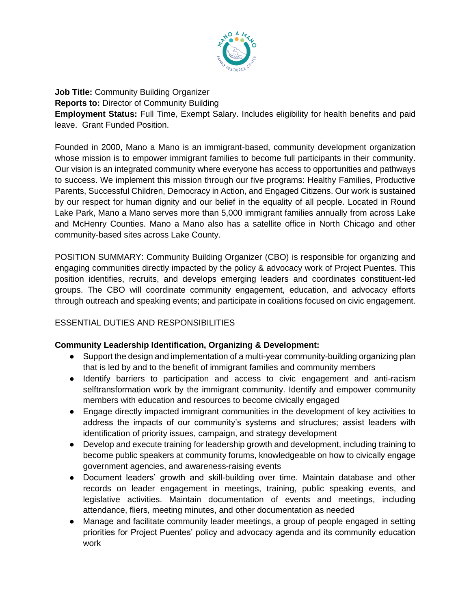

**Job Title:** Community Building Organizer **Reports to:** Director of Community Building **Employment Status:** Full Time, Exempt Salary. Includes eligibility for health benefits and paid leave. Grant Funded Position.

Founded in 2000, Mano a Mano is an immigrant-based, community development organization whose mission is to empower immigrant families to become full participants in their community. Our vision is an integrated community where everyone has access to opportunities and pathways to success. We implement this mission through our five programs: Healthy Families, Productive Parents, Successful Children, Democracy in Action, and Engaged Citizens. Our work is sustained by our respect for human dignity and our belief in the equality of all people. Located in Round Lake Park, Mano a Mano serves more than 5,000 immigrant families annually from across Lake and McHenry Counties. Mano a Mano also has a satellite office in North Chicago and other community-based sites across Lake County.

POSITION SUMMARY: Community Building Organizer (CBO) is responsible for organizing and engaging communities directly impacted by the policy & advocacy work of Project Puentes. This position identifies, recruits, and develops emerging leaders and coordinates constituent-led groups. The CBO will coordinate community engagement, education, and advocacy efforts through outreach and speaking events; and participate in coalitions focused on civic engagement.

## ESSENTIAL DUTIES AND RESPONSIBILITIES

## **Community Leadership Identification, Organizing & Development:**

- Support the design and implementation of a multi-year community-building organizing plan that is led by and to the benefit of immigrant families and community members
- Identify barriers to participation and access to civic engagement and anti-racism selftransformation work by the immigrant community. Identify and empower community members with education and resources to become civically engaged
- Engage directly impacted immigrant communities in the development of key activities to address the impacts of our community's systems and structures; assist leaders with identification of priority issues, campaign, and strategy development
- Develop and execute training for leadership growth and development, including training to become public speakers at community forums, knowledgeable on how to civically engage government agencies, and awareness-raising events
- Document leaders' growth and skill-building over time. Maintain database and other records on leader engagement in meetings, training, public speaking events, and legislative activities. Maintain documentation of events and meetings, including attendance, fliers, meeting minutes, and other documentation as needed
- Manage and facilitate community leader meetings, a group of people engaged in setting priorities for Project Puentes' policy and advocacy agenda and its community education work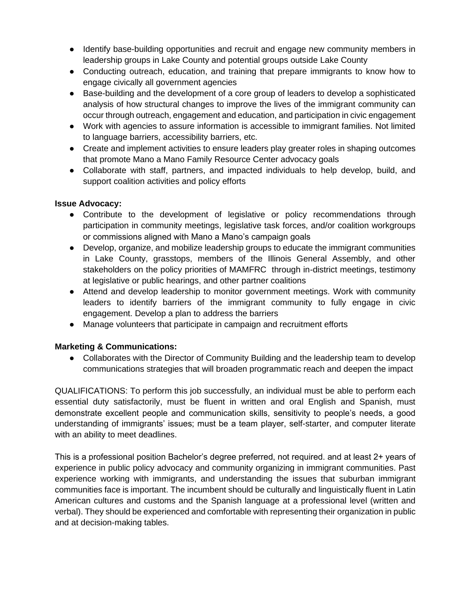- Identify base-building opportunities and recruit and engage new community members in leadership groups in Lake County and potential groups outside Lake County
- Conducting outreach, education, and training that prepare immigrants to know how to engage civically all government agencies
- Base-building and the development of a core group of leaders to develop a sophisticated analysis of how structural changes to improve the lives of the immigrant community can occur through outreach, engagement and education, and participation in civic engagement
- Work with agencies to assure information is accessible to immigrant families. Not limited to language barriers, accessibility barriers, etc.
- Create and implement activities to ensure leaders play greater roles in shaping outcomes that promote Mano a Mano Family Resource Center advocacy goals
- Collaborate with staff, partners, and impacted individuals to help develop, build, and support coalition activities and policy efforts

## **Issue Advocacy:**

- Contribute to the development of legislative or policy recommendations through participation in community meetings, legislative task forces, and/or coalition workgroups or commissions aligned with Mano a Mano's campaign goals
- Develop, organize, and mobilize leadership groups to educate the immigrant communities in Lake County, grasstops, members of the Illinois General Assembly, and other stakeholders on the policy priorities of MAMFRC through in-district meetings, testimony at legislative or public hearings, and other partner coalitions
- Attend and develop leadership to monitor government meetings. Work with community leaders to identify barriers of the immigrant community to fully engage in civic engagement. Develop a plan to address the barriers
- Manage volunteers that participate in campaign and recruitment efforts

## **Marketing & Communications:**

● Collaborates with the Director of Community Building and the leadership team to develop communications strategies that will broaden programmatic reach and deepen the impact

QUALIFICATIONS: To perform this job successfully, an individual must be able to perform each essential duty satisfactorily, must be fluent in written and oral English and Spanish, must demonstrate excellent people and communication skills, sensitivity to people's needs, a good understanding of immigrants' issues; must be a team player, self-starter, and computer literate with an ability to meet deadlines.

This is a professional position Bachelor's degree preferred, not required. and at least 2+ years of experience in public policy advocacy and community organizing in immigrant communities. Past experience working with immigrants, and understanding the issues that suburban immigrant communities face is important. The incumbent should be culturally and linguistically fluent in Latin American cultures and customs and the Spanish language at a professional level (written and verbal). They should be experienced and comfortable with representing their organization in public and at decision-making tables.